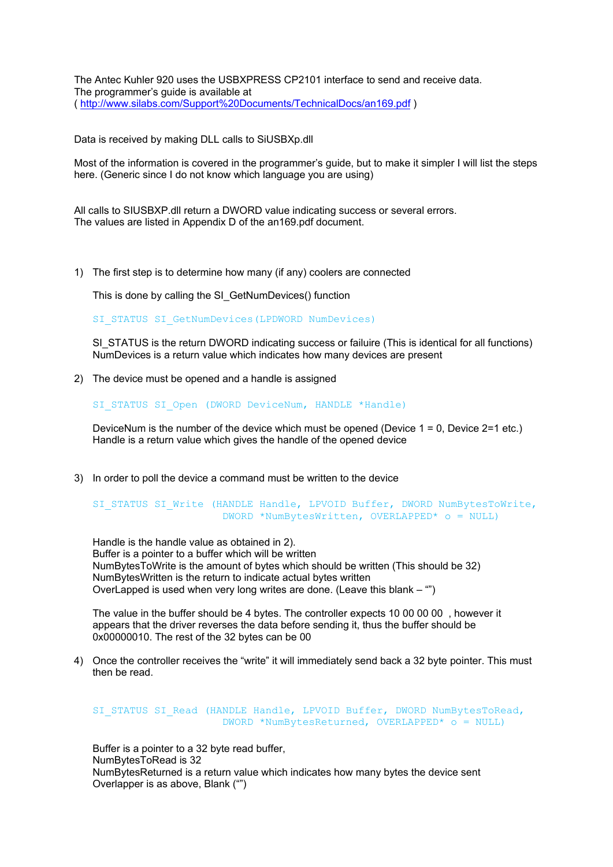The Antec Kuhler 920 uses the USBXPRESS CP2101 interface to send and receive data. The programmer's guide is available at (<http://www.silabs.com/Support%20Documents/TechnicalDocs/an169.pdf> )

Data is received by making DLL calls to SiUSBXp.dll

Most of the information is covered in the programmer's guide, but to make it simpler I will list the steps here. (Generic since I do not know which language you are using)

All calls to SIUSBXP.dll return a DWORD value indicating success or several errors. The values are listed in Appendix D of the an169.pdf document.

1) The first step is to determine how many (if any) coolers are connected

This is done by calling the SI\_GetNumDevices() function

SI\_STATUS SI\_GetNumDevices(LPDWORD NumDevices)

SI STATUS is the return DWORD indicating success or failuire (This is identical for all functions) NumDevices is a return value which indicates how many devices are present

2) The device must be opened and a handle is assigned

SI STATUS SI Open (DWORD DeviceNum, HANDLE \*Handle)

DeviceNum is the number of the device which must be opened (Device  $1 = 0$ , Device  $2=1$  etc.) Handle is a return value which gives the handle of the opened device

3) In order to poll the device a command must be written to the device

SI STATUS SI Write (HANDLE Handle, LPVOID Buffer, DWORD NumBytesToWrite, DWORD \*NumBytesWritten, OVERLAPPED\* o = NULL)

Handle is the handle value as obtained in 2). Buffer is a pointer to a buffer which will be written NumBytesToWrite is the amount of bytes which should be written (This should be 32) NumBytesWritten is the return to indicate actual bytes written OverLapped is used when very long writes are done. (Leave this blank – "")

The value in the buffer should be 4 bytes. The controller expects 10 00 00 00 , however it appears that the driver reverses the data before sending it, thus the buffer should be 0x00000010. The rest of the 32 bytes can be 00

4) Once the controller receives the "write" it will immediately send back a 32 byte pointer. This must then be read.

```
SI STATUS SI Read (HANDLE Handle, LPVOID Buffer, DWORD NumBytesToRead,
         DWORD *NumBytesReturned, OVERLAPPED * o = NULL
```
Buffer is a pointer to a 32 byte read buffer, NumBytesToRead is 32 NumBytesReturned is a return value which indicates how many bytes the device sent Overlapper is as above, Blank ("")